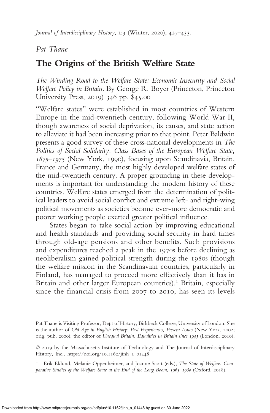Journal of Interdisciplinary History, L:3 (Winter, 2020), 427–433.

## Pat Thane

## The Origins of the British Welfare State

The Winding Road to the Welfare State: Economic Insecurity and Social Welfare Policy in Britain. By George R. Boyer (Princeton, Princeton University Press, 2019) 346 pp. \$45.00

"Welfare states" were established in most countries of Western Europe in the mid-twentieth century, following World War II, though awareness of social deprivation, its causes, and state action to alleviate it had been increasing prior to that point. Peter Baldwin presents a good survey of these cross-national developments in The Politics of Social Solidarity. Class Bases of the European Welfare State, 1875–1975 (New York, 1990), focusing upon Scandinavia, Britain, France and Germany, the most highly developed welfare states of the mid-twentieth century. A proper grounding in these developments is important for understanding the modern history of these countries. Welfare states emerged from the determination of political leaders to avoid social conflict and extreme left- and right-wing political movements as societies became ever-more democratic and poorer working people exerted greater political influence.

States began to take social action by improving educational and health standards and providing social security in hard times through old-age pensions and other benefits. Such provisions and expenditures reached a peak in the 1970s before declining as neoliberalism gained political strength during the 1980s (though the welfare mission in the Scandinavian countries, particularly in Finland, has managed to proceed more effectively than it has in Britain and other larger European countries).<sup>1</sup> Britain, especially since the financial crisis from 2007 to 2010, has seen its levels

Pat Thane is Visiting Professor, Dept of History, Birkbeck College, University of London. She is the author of Old Age in English History: Past Experiences, Present Issues (New York, 2002; orig. pub. 2000); the editor of Unequal Britain: Equalities in Britain since 1945 (London, 2010).

© 2019 by the Massachusetts Institute of Technology and The Journal of Interdisciplinary History, Inc., https://doi.org/10.1162/jinh\_a\_01448

1 Erik Eklund, Melanie Oppenheimer, and Joanne Scott (eds.), The State of Welfare: Comparative Studies of the Welfare State at the End of the Long Boom, 1965–1980 (Oxford, 2018).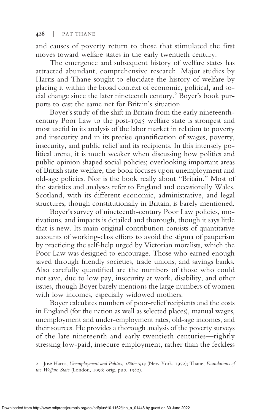and causes of poverty return to those that stimulated the first moves toward welfare states in the early twentieth century.

The emergence and subsequent history of welfare states has attracted abundant, comprehensive research. Major studies by Harris and Thane sought to elucidate the history of welfare by placing it within the broad context of economic, political, and social change since the later nineteenth century.<sup>2</sup> Boyer's book purports to cast the same net for Britain's situation.

Boyer's study of the shift in Britain from the early nineteenthcentury Poor Law to the post-1945 welfare state is strongest and most useful in its analysis of the labor market in relation to poverty and insecurity and in its precise quantification of wages, poverty, insecurity, and public relief and its recipients. In this intensely political arena, it is much weaker when discussing how politics and public opinion shaped social policies; overlooking important areas of British state welfare, the book focuses upon unemployment and old-age policies. Nor is the book really about "Britain." Most of the statistics and analyses refer to England and occasionally Wales. Scotland, with its different economic, administrative, and legal structures, though constitutionally in Britain, is barely mentioned.

Boyer's survey of nineteenth-century Poor Law policies, motivations, and impacts is detailed and thorough, though it says little that is new. Its main original contribution consists of quantitative accounts of working-class efforts to avoid the stigma of pauperism by practicing the self-help urged by Victorian moralists, which the Poor Law was designed to encourage. Those who earned enough saved through friendly societies, trade unions, and savings banks. Also carefully quantified are the numbers of those who could not save, due to low pay, insecurity at work, disability, and other issues, though Boyer barely mentions the large numbers of women with low incomes, especially widowed mothers.

Boyer calculates numbers of poor-relief recipients and the costs in England (for the nation as well as selected places), manual wages, unemployment and under-employment rates, old-age incomes, and their sources. He provides a thorough analysis of the poverty surveys of the late nineteenth and early twentieth centuries—rightly stressing low-paid, insecure employment, rather than the feckless

<sup>2</sup> José Harris, Unemployment and Politics, 1886–1914 (New York, 1972); Thane, Foundations of the Welfare State (London, 1996; orig. pub. 1982).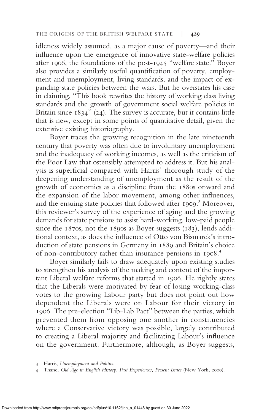idleness widely assumed, as a major cause of poverty—and their influence upon the emergence of innovative state-welfare policies after 1906, the foundations of the post-1945 "welfare state." Boyer also provides a similarly useful quantification of poverty, employment and unemployment, living standards, and the impact of expanding state policies between the wars. But he overstates his case in claiming, "This book rewrites the history of working class living standards and the growth of government social welfare policies in Britain since 1834" (24). The survey is accurate, but it contains little that is new, except in some points of quantitative detail, given the extensive existing historiography.

Boyer traces the growing recognition in the late nineteenth century that poverty was often due to involuntary unemployment and the inadequacy of working incomes, as well as the criticism of the Poor Law that ostensibly attempted to address it. But his analysis is superficial compared with Harris' thorough study of the deepening understanding of unemployment as the result of the growth of economics as a discipline from the 1880s onward and the expansion of the labor movement, among other influences, and the ensuing state policies that followed after 1909.<sup>3</sup> Moreover, this reviewer's survey of the experience of aging and the growing demands for state pensions to assist hard-working, low-paid people since the 1870s, not the 1890s as Boyer suggests (183), lends additional context, as does the influence of Otto von Bismarck's introduction of state pensions in Germany in 1889 and Britain's choice of non-contributory rather than insurance pensions in 1908.<sup>4</sup>

Boyer similarly fails to draw adequately upon existing studies to strengthen his analysis of the making and content of the important Liberal welfare reforms that started in 1906. He rightly states that the Liberals were motivated by fear of losing working-class votes to the growing Labour party but does not point out how dependent the Liberals were on Labour for their victory in 1906. The pre-election "Lib-Lab Pact" between the parties, which prevented them from opposing one another in constituencies where a Conservative victory was possible, largely contributed to creating a Liberal majority and facilitating Labour's influence on the government. Furthermore, although, as Boyer suggests,

<sup>3</sup> Harris, Unemployment and Politics.

<sup>4</sup> Thane, Old Age in English History: Past Experiences, Present Issues (New York, 2000).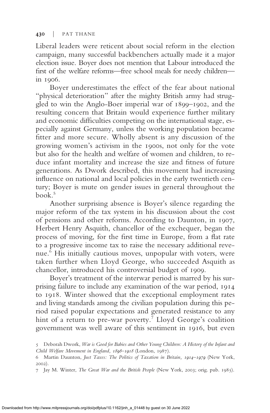Liberal leaders were reticent about social reform in the election campaign, many successful backbenchers actually made it a major election issue. Boyer does not mention that Labour introduced the first of the welfare reforms—free school meals for needy children in 1906.

Boyer underestimates the effect of the fear about national "physical deterioration" after the mighty British army had struggled to win the Anglo-Boer imperial war of 1899–1902, and the resulting concern that Britain would experience further military and economic difficulties competing on the international stage, especially against Germany, unless the working population became fitter and more secure. Wholly absent is any discussion of the growing women's activism in the 1900s, not only for the vote but also for the health and welfare of women and children, to reduce infant mortality and increase the size and fitness of future generations. As Dwork described, this movement had increasing influence on national and local policies in the early twentieth century; Boyer is mute on gender issues in general throughout the book.<sup>5</sup>

Another surprising absence is Boyer's silence regarding the major reform of the tax system in his discussion about the cost of pensions and other reforms. According to Daunton, in 1907, Herbert Henry Asquith, chancellor of the exchequer, began the process of moving, for the first time in Europe, from a flat rate to a progressive income tax to raise the necessary additional revenue.<sup>6</sup> His initially cautious moves, unpopular with voters, were taken further when Lloyd George, who succeeded Asquith as chancellor, introduced his controversial budget of 1909.

Boyer's treatment of the interwar period is marred by his surprising failure to include any examination of the war period, 1914 to 1918. Winter showed that the exceptional employment rates and living standards among the civilian population during this period raised popular expectations and generated resistance to any hint of a return to pre-war poverty.<sup>7</sup> Lloyd George's coalition government was well aware of this sentiment in 1916, but even

<sup>5</sup> Deborah Dwork, War is Good for Babies and Other Young Children: A History of the Infant and Child Welfare Movement in England, 1898–1918 (London, 1987).

<sup>6</sup> Martin Daunton, Just Taxes: The Politics of Taxation in Britain, 1914–1979 (New York, 2002).

<sup>7</sup> Jay M. Winter, The Great War and the British People (New York, 2003; orig. pub. 1985).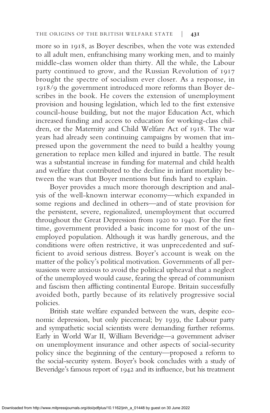more so in 1918, as Boyer describes, when the vote was extended to all adult men, enfranchising many working men, and to mainly middle-class women older than thirty. All the while, the Labour party continued to grow, and the Russian Revolution of 1917 brought the spectre of socialism ever closer. As a response, in 1918/9 the government introduced more reforms than Boyer describes in the book. He covers the extension of unemployment provision and housing legislation, which led to the first extensive council-house building, but not the major Education Act, which increased funding and access to education for working-class children, or the Maternity and Child Welfare Act of 1918. The war years had already seen continuing campaigns by women that impressed upon the government the need to build a healthy young generation to replace men killed and injured in battle. The result was a substantial increase in funding for maternal and child health and welfare that contributed to the decline in infant mortality between the wars that Boyer mentions but finds hard to explain.

Boyer provides a much more thorough description and analysis of the well-known interwar economy—which expanded in some regions and declined in others—and of state provision for the persistent, severe, regionalized, unemployment that occurred throughout the Great Depression from 1920 to 1940. For the first time, government provided a basic income for most of the unemployed population. Although it was hardly generous, and the conditions were often restrictive, it was unprecedented and sufficient to avoid serious distress. Boyer's account is weak on the matter of the policy's political motivation. Governments of all persuasions were anxious to avoid the political upheaval that a neglect of the unemployed would cause, fearing the spread of communism and fascism then afflicting continental Europe. Britain successfully avoided both, partly because of its relatively progressive social policies.

British state welfare expanded between the wars, despite economic depression, but only piecemeal; by 1939, the Labour party and sympathetic social scientists were demanding further reforms. Early in World War II, William Beveridge—a government adviser on unemployment insurance and other aspects of social-security policy since the beginning of the century—proposed a reform to the social-security system. Boyer's book concludes with a study of Beveridge's famous report of 1942 and its influence, but his treatment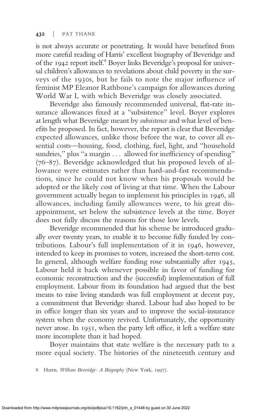is not always accurate or penetrating. It would have benefited from more careful reading of Harris' excellent biography of Beveridge and of the 1942 report itself.<sup>8</sup> Boyer links Beveridge's proposal for universal children's allowances to revelations about child poverty in the surveys of the 1930s, but he fails to note the major influence of feminist MP Eleanor Rathbone's campaign for allowances during World War I, with which Beveridge was closely associated.

Beveridge also famously recommended universal, flat-rate insurance allowances fixed at a "subsistence" level. Boyer explores at length what Beveridge meant by subsistence and what level of benefits he proposed. In fact, however, the report is clear that Beveridge expected allowances, unlike those before the war, to cover all essential costs—housing, food, clothing, fuel, light, and "household sundries," plus "a margin . . . allowed for inefficiency of spending" (76–87). Beveridge acknowledged that his proposed levels of allowance were estimates rather than hard-and-fast recommendations, since he could not know when his proposals would be adopted or the likely cost of living at that time. When the Labour government actually began to implement his principles in 1946, all allowances, including family allowances were, to his great disappointment, set below the subsistence levels at the time. Boyer does not fully discuss the reasons for those low levels.

Beveridge recommended that his scheme be introduced gradually over twenty years, to enable it to become fully funded by contributions. Labour's full implementation of it in 1946, however, intended to keep its promises to voters, increased the short-term cost. In general, although welfare funding rose substantially after 1945, Labour held it back whenever possible in favor of funding for economic reconstruction and the (successful) implementation of full employment. Labour from its foundation had argued that the best means to raise living standards was full employment at decent pay, a commitment that Beveridge shared. Labour had also hoped to be in office longer than six years and to improve the social-insurance system when the economy revived. Unfortunately, the opportunity never arose. In 1951, when the party left office, it left a welfare state more incomplete than it had hoped.

Boyer maintains that state welfare is the necessary path to a more equal society. The histories of the nineteenth century and

8 Harris, William Beveridge: A Biography (New York, 1997).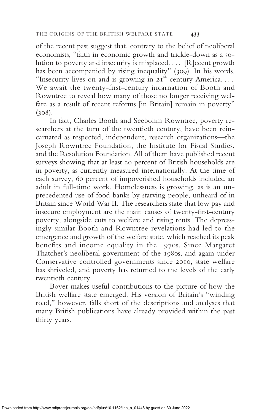of the recent past suggest that, contrary to the belief of neoliberal economists, "faith in economic growth and trickle-down as a solution to poverty and insecurity is misplaced. . . . [R]ecent growth has been accompanied by rising inequality" (309). In his words, "Insecurity lives on and is growing in  $21<sup>st</sup>$  century America.... We await the twenty-first-century incarnation of Booth and Rowntree to reveal how many of those no longer receiving welfare as a result of recent reforms [in Britain] remain in poverty"  $(308).$ 

In fact, Charles Booth and Seebohm Rowntree, poverty researchers at the turn of the twentieth century, have been reincarnated as respected, independent, research organizations—the Joseph Rowntree Foundation, the Institute for Fiscal Studies, and the Resolution Foundation. All of them have published recent surveys showing that at least 20 percent of British households are in poverty, as currently measured internationally. At the time of each survey, 60 percent of impoverished households included an adult in full-time work. Homelessness is growing, as is an unprecedented use of food banks by starving people, unheard of in Britain since World War II. The researchers state that low pay and insecure employment are the main causes of twenty-first-century poverty, alongside cuts to welfare and rising rents. The depressingly similar Booth and Rowntree revelations had led to the emergence and growth of the welfare state, which reached its peak benefits and income equality in the 1970s. Since Margaret Thatcher's neoliberal government of the 1980s, and again under Conservative controlled governments since 2010, state welfare has shriveled, and poverty has returned to the levels of the early twentieth century.

Boyer makes useful contributions to the picture of how the British welfare state emerged. His version of Britain's "winding road," however, falls short of the descriptions and analyses that many British publications have already provided within the past thirty years.